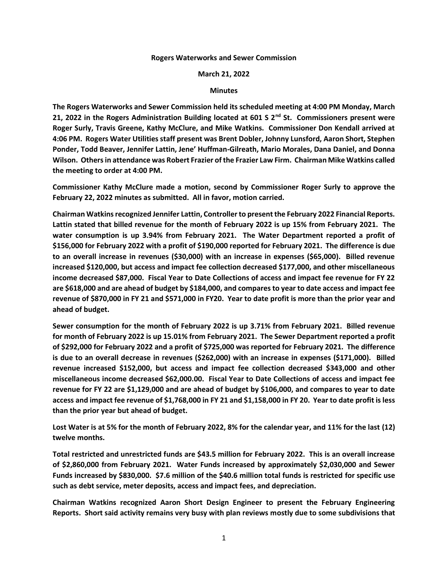## **Rogers Waterworks and Sewer Commission**

## **March 21, 2022**

## **Minutes**

**The Rogers Waterworks and Sewer Commission held its scheduled meeting at 4:00 PM Monday, March 21, 2022 in the Rogers Administration Building located at 601 S 2nd St. Commissioners present were Roger Surly, Travis Greene, Kathy McClure, and Mike Watkins. Commissioner Don Kendall arrived at 4:06 PM. Rogers Water Utilities staff present was Brent Dobler, Johnny Lunsford, Aaron Short, Stephen Ponder, Todd Beaver, Jennifer Lattin, Jene' Huffman-Gilreath, Mario Morales, Dana Daniel, and Donna Wilson. Others in attendance was Robert Frazier of the Frazier Law Firm. Chairman Mike Watkins called the meeting to order at 4:00 PM.**

**Commissioner Kathy McClure made a motion, second by Commissioner Roger Surly to approve the February 22, 2022 minutes as submitted. All in favor, motion carried.**

**Chairman Watkins recognized Jennifer Lattin, Controller to present the February 2022 Financial Reports. Lattin stated that billed revenue for the month of February 2022 is up 15% from February 2021. The water consumption is up 3.94% from February 2021. The Water Department reported a profit of \$156,000 for February 2022 with a profit of \$190,000 reported for February 2021. The difference is due to an overall increase in revenues (\$30,000) with an increase in expenses (\$65,000). Billed revenue increased \$120,000, but access and impact fee collection decreased \$177,000, and other miscellaneous income decreased \$87,000. Fiscal Year to Date Collections of access and impact fee revenue for FY 22 are \$618,000 and are ahead of budget by \$184,000, and compares to year to date access and impact fee revenue of \$870,000 in FY 21 and \$571,000 in FY20. Year to date profit is more than the prior year and ahead of budget.**

**Sewer consumption for the month of February 2022 is up 3.71% from February 2021. Billed revenue for month of February 2022 is up 15.01% from February 2021. The Sewer Department reported a profit of \$292,000 for February 2022 and a profit of \$725,000 was reported for February 2021. The difference is due to an overall decrease in revenues (\$262,000) with an increase in expenses (\$171,000). Billed revenue increased \$152,000, but access and impact fee collection decreased \$343,000 and other miscellaneous income decreased \$62,000.00. Fiscal Year to Date Collections of access and impact fee revenue for FY 22 are \$1,129,000 and are ahead of budget by \$106,000, and compares to year to date access and impact fee revenue of \$1,768,000 in FY 21 and \$1,158,000 in FY 20. Year to date profit is less than the prior year but ahead of budget.**

**Lost Water is at 5% for the month of February 2022, 8% for the calendar year, and 11% for the last (12) twelve months.**

**Total restricted and unrestricted funds are \$43.5 million for February 2022. This is an overall increase of \$2,860,000 from February 2021. Water Funds increased by approximately \$2,030,000 and Sewer Funds increased by \$830,000. \$7.6 million of the \$40.6 million total funds is restricted for specific use such as debt service, meter deposits, access and impact fees, and depreciation.**

**Chairman Watkins recognized Aaron Short Design Engineer to present the February Engineering Reports. Short said activity remains very busy with plan reviews mostly due to some subdivisions that**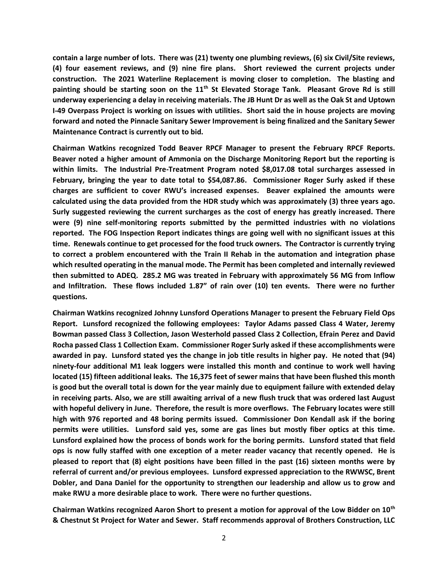**contain a large number of lots. There was (21) twenty one plumbing reviews, (6) six Civil/Site reviews, (4) four easement reviews, and (9) nine fire plans. Short reviewed the current projects under construction. The 2021 Waterline Replacement is moving closer to completion. The blasting and painting should be starting soon on the 11th St Elevated Storage Tank. Pleasant Grove Rd is still underway experiencing a delay in receiving materials. The JB Hunt Dr as well as the Oak St and Uptown I-49 Overpass Project is working on issues with utilities. Short said the in house projects are moving forward and noted the Pinnacle Sanitary Sewer Improvement is being finalized and the Sanitary Sewer Maintenance Contract is currently out to bid.** 

**Chairman Watkins recognized Todd Beaver RPCF Manager to present the February RPCF Reports. Beaver noted a higher amount of Ammonia on the Discharge Monitoring Report but the reporting is within limits. The Industrial Pre-Treatment Program noted \$8,017.08 total surcharges assessed in February, bringing the year to date total to \$54,087.86. Commissioner Roger Surly asked if these charges are sufficient to cover RWU's increased expenses. Beaver explained the amounts were calculated using the data provided from the HDR study which was approximately (3) three years ago. Surly suggested reviewing the current surcharges as the cost of energy has greatly increased. There were (9) nine self-monitoring reports submitted by the permitted industries with no violations reported. The FOG Inspection Report indicates things are going well with no significant issues at this time. Renewals continue to get processed for the food truck owners. The Contractor is currently trying to correct a problem encountered with the Train II Rehab in the automation and integration phase which resulted operating in the manual mode. The Permit has been completed and internally reviewed then submitted to ADEQ. 285.2 MG was treated in February with approximately 56 MG from Inflow and Infiltration. These flows included 1.87" of rain over (10) ten events. There were no further questions.**

**Chairman Watkins recognized Johnny Lunsford Operations Manager to present the February Field Ops Report. Lunsford recognized the following employees: Taylor Adams passed Class 4 Water, Jeremy Bowman passed Class 3 Collection, Jason Westerhold passed Class 2 Collection, Efrain Perez and David Rocha passed Class 1 Collection Exam. Commissioner Roger Surly asked if these accomplishments were awarded in pay. Lunsford stated yes the change in job title results in higher pay. He noted that (94) ninety-four additional M1 leak loggers were installed this month and continue to work well having located (15) fifteen additional leaks. The 16,375 feet of sewer mains that have been flushed this month is good but the overall total is down for the year mainly due to equipment failure with extended delay in receiving parts. Also, we are still awaiting arrival of a new flush truck that was ordered last August with hopeful delivery in June. Therefore, the result is more overflows. The February locates were still high with 976 reported and 48 boring permits issued. Commissioner Don Kendall ask if the boring permits were utilities. Lunsford said yes, some are gas lines but mostly fiber optics at this time. Lunsford explained how the process of bonds work for the boring permits. Lunsford stated that field ops is now fully staffed with one exception of a meter reader vacancy that recently opened. He is pleased to report that (8) eight positions have been filled in the past (16) sixteen months were by referral of current and/or previous employees. Lunsford expressed appreciation to the RWWSC, Brent Dobler, and Dana Daniel for the opportunity to strengthen our leadership and allow us to grow and make RWU a more desirable place to work. There were no further questions.**

**Chairman Watkins recognized Aaron Short to present a motion for approval of the Low Bidder on 10th & Chestnut St Project for Water and Sewer. Staff recommends approval of Brothers Construction, LLC**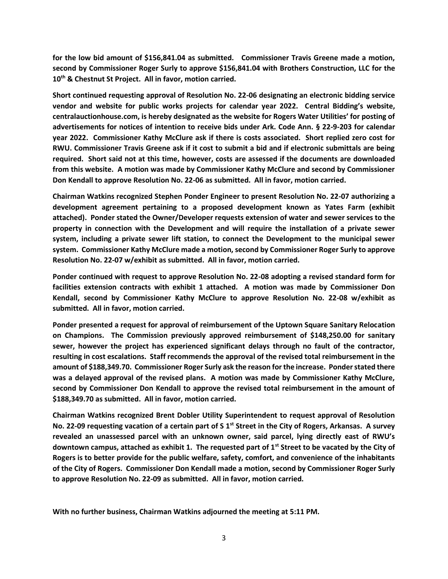**for the low bid amount of \$156,841.04 as submitted. Commissioner Travis Greene made a motion, second by Commissioner Roger Surly to approve \$156,841.04 with Brothers Construction, LLC for the 10th & Chestnut St Project. All in favor, motion carried.**

**Short continued requesting approval of Resolution No. 22-06 designating an electronic bidding service vendor and website for public works projects for calendar year 2022. Central Bidding's website, centralauctionhouse.com, is hereby designated as the website for Rogers Water Utilities' for posting of advertisements for notices of intention to receive bids under Ark. Code Ann. § 22-9-203 for calendar year 2022. Commissioner Kathy McClure ask if there is costs associated. Short replied zero cost for RWU. Commissioner Travis Greene ask if it cost to submit a bid and if electronic submittals are being required. Short said not at this time, however, costs are assessed if the documents are downloaded from this website. A motion was made by Commissioner Kathy McClure and second by Commissioner Don Kendall to approve Resolution No. 22-06 as submitted. All in favor, motion carried.**

**Chairman Watkins recognized Stephen Ponder Engineer to present Resolution No. 22-07 authorizing a development agreement pertaining to a proposed development known as Yates Farm (exhibit attached). Ponder stated the Owner/Developer requests extension of water and sewer services to the property in connection with the Development and will require the installation of a private sewer system, including a private sewer lift station, to connect the Development to the municipal sewer system. Commissioner Kathy McClure made a motion, second by Commissioner Roger Surly to approve Resolution No. 22-07 w/exhibit as submitted. All in favor, motion carried.**

**Ponder continued with request to approve Resolution No. 22-08 adopting a revised standard form for facilities extension contracts with exhibit 1 attached. A motion was made by Commissioner Don Kendall, second by Commissioner Kathy McClure to approve Resolution No. 22-08 w/exhibit as submitted. All in favor, motion carried.**

**Ponder presented a request for approval of reimbursement of the Uptown Square Sanitary Relocation on Champions. The Commission previously approved reimbursement of \$148,250.00 for sanitary sewer, however the project has experienced significant delays through no fault of the contractor, resulting in cost escalations. Staff recommends the approval of the revised total reimbursement in the amount of \$188,349.70. Commissioner Roger Surly ask the reason for the increase. Ponder stated there was a delayed approval of the revised plans. A motion was made by Commissioner Kathy McClure, second by Commissioner Don Kendall to approve the revised total reimbursement in the amount of \$188,349.70 as submitted. All in favor, motion carried.**

**Chairman Watkins recognized Brent Dobler Utility Superintendent to request approval of Resolution No. 22-09 requesting vacation of a certain part of S 1st Street in the City of Rogers, Arkansas. A survey revealed an unassessed parcel with an unknown owner, said parcel, lying directly east of RWU's downtown campus, attached as exhibit 1. The requested part of 1st Street to be vacated by the City of Rogers is to better provide for the public welfare, safety, comfort, and convenience of the inhabitants of the City of Rogers. Commissioner Don Kendall made a motion, second by Commissioner Roger Surly to approve Resolution No. 22-09 as submitted. All in favor, motion carried.**

**With no further business, Chairman Watkins adjourned the meeting at 5:11 PM.**